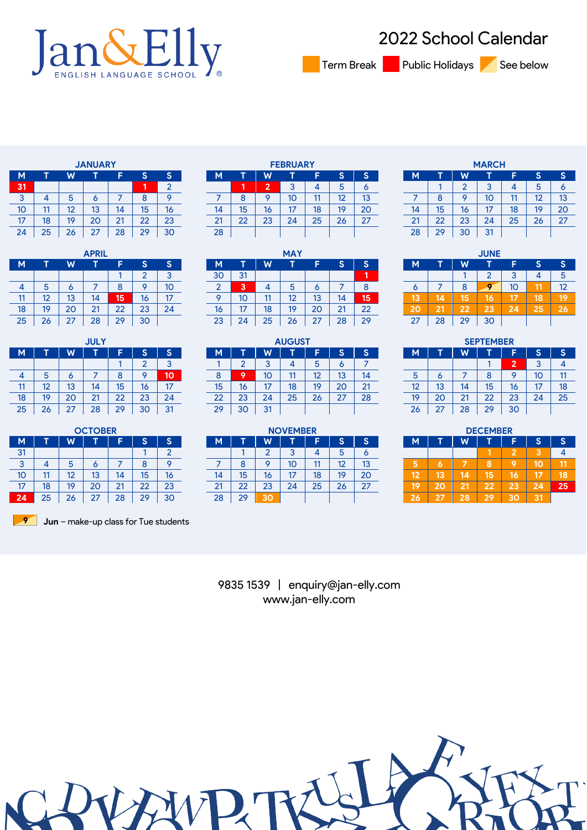

School Calendar

Term Break Public Holidays See below

|    |    |    | <b>JANUARY</b> |    |    |                |
|----|----|----|----------------|----|----|----------------|
| M  |    | W  |                | F  | S  | S              |
| 31 |    |    |                |    | 1  | $\overline{2}$ |
| 3  | 4  | 5  | 6              |    | 8  | 9              |
| 10 | 11 | 12 | 13             | 14 | 15 | 16             |
| 17 | 18 | 19 | 20             | 21 | 22 | 23             |
| 24 | 25 | 26 | 27             | 28 | 29 | 30             |

|    |    |    | <b>APRIL</b> |    |    |    |
|----|----|----|--------------|----|----|----|
| M  |    | W  |              |    | S  | S  |
|    |    |    |              |    | 2  | 3  |
| 4  | 5  | 6  |              | 8  | 9  | 10 |
| 11 | 12 | 13 | 14           | 15 | 16 | 17 |
| 18 | 19 | 20 | 21           | 22 | 23 | 24 |
| 25 | 26 | 27 | 28           | 29 | 30 |    |

|    |    |    | <b>JULY</b> |    |                |    |
|----|----|----|-------------|----|----------------|----|
| M  |    | W  | Ñ           | F  | 'S             | S  |
|    |    |    |             |    | $\overline{2}$ | 3  |
|    | 5  | 6  |             | 8  |                | 10 |
| 11 | 12 | 13 | 14          | 15 | 16             | 17 |
| 18 | 19 | 20 | 21          | 22 | 23             | 24 |
| 25 | 26 | 27 | 28          | 29 | 30             | 31 |

|              |    |    | <b>OCTOBER</b> |          |              |    |             |                |    | <b>NOVEMBER</b> |    |               |        |    |                |            | <b>DECEMBER</b> |          |    |
|--------------|----|----|----------------|----------|--------------|----|-------------|----------------|----|-----------------|----|---------------|--------|----|----------------|------------|-----------------|----------|----|
| <b>M</b>     |    | W  |                |          |              | ⌒  | М           |                | W  |                 |    |               | ∼      | м  |                | W          |                 |          |    |
| 31           |    |    |                |          |              |    |             |                | ے  | U               |    | b             |        |    |                |            |                 |          |    |
| $\sim$<br>v  |    | n  |                |          |              |    |             |                |    | 10              |    | $\sim$<br>12. | IJ     |    |                |            |                 |          |    |
| 10           |    | ⊷  | 13             | 14       | 15           | 16 | 14          | 15             | 16 |                 | 18 | 19            | 20     | 12 | 13             | Ŀ          | 15              |          |    |
| $\mathbf{r}$ | 18 | 19 | 20             | ົາ1<br>▵ | $\sim$<br>__ | 23 | $\sim$<br>▵ | ິ<br><u>__</u> | 23 | 24              | 25 | 26            | $\sim$ | 19 | 2 <sup>c</sup> | - -<br>- 1 | 22              | n n<br>æ |    |
| 24           | 25 | 26 | $\sim$<br>، ے  | 28       | 29           | 30 | 28          | 29             | 30 |                 |    |               |        |    | דפ             | 28         | 29              | 30       | 31 |

**Jun** – make-up class for Tue students

|    |    |    | <b>JANUARY</b> |         |             |    |               |          |    | <b>FEBRUARY</b> |    |    |    |              |              |              | <b>MARCH</b>         |                     |    |                |
|----|----|----|----------------|---------|-------------|----|---------------|----------|----|-----------------|----|----|----|--------------|--------------|--------------|----------------------|---------------------|----|----------------|
| м  |    | W  |                |         |             |    | M             |          |    |                 |    |    |    | M            |              |              |                      |                     |    |                |
| 31 |    |    |                |         |             |    |               |          |    |                 |    |    |    |              |              |              |                      |                     |    |                |
| 3  |    |    |                |         |             |    |               |          |    | 10              |    | ▃  | ι٥ |              |              |              | טו                   |                     |    | 13             |
| 10 |    | ⊷  | 13             | ،4      | 15          | ΙO | 14            | 15       | ΙO |                 | 18 | 19 | 20 | 14           | 15           | ιo           | ۰-<br>$\blacksquare$ | 18                  |    | 2 <sub>C</sub> |
| 17 | 18 | 10 | 20             | ິ<br>∠∣ | $\sim$<br>ے | 23 | $\mathcal{L}$ | ົາງ<br>້ | 23 | 24              | 25 | ۷ō | דר | e.<br>$\sim$ | $\sim$<br>22 | $\sim$<br>دے | 24                   | $\sim$ $\sim$<br>25 | zo | 27             |
| 24 | 25 | 26 | 27             | 28      | 29          | 30 | 28            |          |    |                 |    |    |    | 28           | 29           | 30           | 31                   |                     |    |                |
|    |    |    |                |         |             |    |               |          |    |                 |    |    |    |              |              |              |                      |                     |    |                |

|    |              |              | <b>APRIL</b> |             |           |    |    |             |    | <b>MAY</b>   |          |         |        |    |    |        | <b>JUNE</b> |    |    |    |
|----|--------------|--------------|--------------|-------------|-----------|----|----|-------------|----|--------------|----------|---------|--------|----|----|--------|-------------|----|----|----|
| м  |              | w            |              |             |           |    | м  |             |    |              |          |         |        | M  |    |        |             |    |    |    |
|    |              |              |              |             |           |    | 30 | $3^{\circ}$ |    |              |          |         |        |    |    |        |             |    |    | b  |
| 4  |              |              |              |             |           | 10 |    | æ.          |    |              |          |         |        |    |    |        |             | 10 |    | 12 |
| 11 | --           | 10<br>ں ا    | 14           | 15          | ΙO        |    |    | 10          | 11 |              | 10<br>ں، | 14      | 15     | 13 | Ľ  |        | 16          | 17 | 18 | 19 |
| 18 | 10           | 20           | 21           | $\sim$<br>້ | ົາາ<br>دے | 24 | 16 | $-$<br>     | 18 | 10.          | 20       | 21<br>▵ | $\sim$ | 20 | າາ | $\sim$ | 23          | 24 | 25 | 26 |
| 25 | $\sim$<br>20 | $\sim$<br>رے | 28           | 29          | 30        |    | 23 | 24          | 25 | $\sim$<br>20 | 27       | 28      | 29     | 27 | 28 | 29     | 30          |    |    |    |

|    |              |           | <b>JULY</b> |              |              |    |          |    |         | <b>AUGUST</b> |         |          |                    |              |              |                    | <b>SEPTEMBER</b> |    |     |    |
|----|--------------|-----------|-------------|--------------|--------------|----|----------|----|---------|---------------|---------|----------|--------------------|--------------|--------------|--------------------|------------------|----|-----|----|
| М  |              | W         |             |              |              |    | м        |    |         |               |         |          |                    | М            |              |                    |                  |    |     |    |
|    |              |           |             |              |              |    |          |    |         |               |         |          |                    |              |              |                    |                  |    |     |    |
| 4  |              |           |             |              |              | 10 |          |    | 10      |               | 10<br>⊷ | 12<br>ıэ | 14                 | $\cdot$      |              |                    |                  |    | U   | 11 |
| 11 | ''           | 10<br>ں ا | 14          | 15           | ΙO           | -- | 15       | 16 | דו      | 18            | 10      | 20       | n.<br>$\mathbf{z}$ | $\sim$<br>14 | 13           |                    | 15               | 16 | . – | 18 |
| 18 | 10.          | 20        | າ1<br>∠ ।   | $\sim$<br>∠∠ | $\sim$<br>دے | 24 | ົາງ<br>ے | 23 | 24      | 25            | 26      | ົ        | 28                 | 19           | 20           | $\sim$<br><u>.</u> | 22               | 23 | 24  | 25 |
| 25 | $\sim$<br>20 | $\sim$    | 28          | 29           | 30           | 31 | 29       | 30 | 21<br>v |               |         |          |                    | 26           | $\sim$<br>تە | 28                 | 29               | 30 |     |    |

|                    |          |              | <b>OCTOBER</b> |                    |                |    |                    |              |          | <b>NOVEMBER</b>           |     |              |        |           |          |             | <b>DECEMBER</b> |          |   |    |
|--------------------|----------|--------------|----------------|--------------------|----------------|----|--------------------|--------------|----------|---------------------------|-----|--------------|--------|-----------|----------|-------------|-----------------|----------|---|----|
| М                  |          | M            | -              |                    |                |    | M.                 |              |          |                           |     |              |        | M         | -        | V.          |                 |          |   |    |
| 31                 |          |              |                |                    |                |    |                    |              |          |                           |     |              |        |           |          |             |                 |          |   |    |
| $\sim$<br>◡        |          |              | u              |                    |                |    |                    |              |          | 10                        | . . | $\sim$<br>⊷  | IJ     | . .<br>æ. |          |             |                 |          |   |    |
| 10                 |          | 10<br>. .    | 13             |                    | 1 m<br>טו      | 16 |                    | w            | ΙO       |                           | 18  | 19           | 20     | 12        | 10<br>r. |             | 15 <sub>1</sub> | l6       | E | 18 |
| 17<br>$\mathbf{z}$ | 10<br>10 | 10           | 20             | $\sim$<br><u>.</u> | $\sim$<br>ے    | 23 | $\sim$<br><u>.</u> | $\sim$<br>LL | າາ<br>دے | $\mathbf{z}^{\mathbf{a}}$ | 25  | $\sim$<br>zo | $\sim$ | 19        |          | $\sim$<br>- | 22              | າາ<br>Z. |   | 25 |
| 4                  | 25       | $\sim$<br>20 | $\sim$<br>-    | ാറ<br>20           | ാറ<br><u>.</u> | 30 | 28                 | 29           | 30       |                           |     |              |        | 26        | $-1$     | 28          | 29              | 30       |   |    |

|    |                                |    | <b>MARCH</b> |    |    |    |  |  |  |  |  |  |  |  |
|----|--------------------------------|----|--------------|----|----|----|--|--|--|--|--|--|--|--|
| M  |                                | W  |              |    | S  | S  |  |  |  |  |  |  |  |  |
|    | 3<br>2<br>5<br>o               |    |              |    |    |    |  |  |  |  |  |  |  |  |
|    | 13<br>10<br>9<br>12<br>8<br>11 |    |              |    |    |    |  |  |  |  |  |  |  |  |
| 14 | 15                             | 16 | 17           | 18 | 19 | 20 |  |  |  |  |  |  |  |  |
| 21 | 22                             | 23 | 24           | 25 | 26 | 27 |  |  |  |  |  |  |  |  |
| 28 | 29                             | 30 | 31           |    |    |    |  |  |  |  |  |  |  |  |

|    |    |     | <b>JUNE</b> |    |    |    |
|----|----|-----|-------------|----|----|----|
| M  |    | W   |             | F  | S  | S  |
|    |    |     | 2           | 3  |    | 5  |
| 6  |    | 8   |             | 10 |    | 12 |
| 13 | 14 | 15. | 16          |    | 18 |    |
| 20 | 21 | 22  | 23          | 24 | 25 | 26 |
| 27 | 28 | 29  | 30          |    |    |    |

|    |    |    | <b>SEPTEMBER</b> |    |    |    |
|----|----|----|------------------|----|----|----|
| M  |    | W  |                  |    | S  | S  |
|    |    |    |                  | 2  | 3  |    |
| 5  | 6  |    | 8                |    | 10 |    |
| 12 | 13 | 14 | 15               | 16 | 17 | 18 |
| 19 | 20 | 21 | 22               | 23 | 24 | 25 |
| 26 | 27 | 28 | 29               | 30 |    |    |

|    |    |    | <b>DECEMBER</b> |    |    |    |
|----|----|----|-----------------|----|----|----|
| M  |    | W  |                 |    | S  | S  |
|    |    |    |                 | 2  | 3  |    |
| 5  |    | ıc |                 |    |    |    |
| 12 | 13 | 14 | 15              | 16 |    | 18 |
|    | 20 | 21 | 22              | 23 | 24 | 25 |
| 26 | 27 | 28 | 29              | 30 | ÆF |    |

9835 1539 | enquiry@jan-elly.com www.jan-elly.com